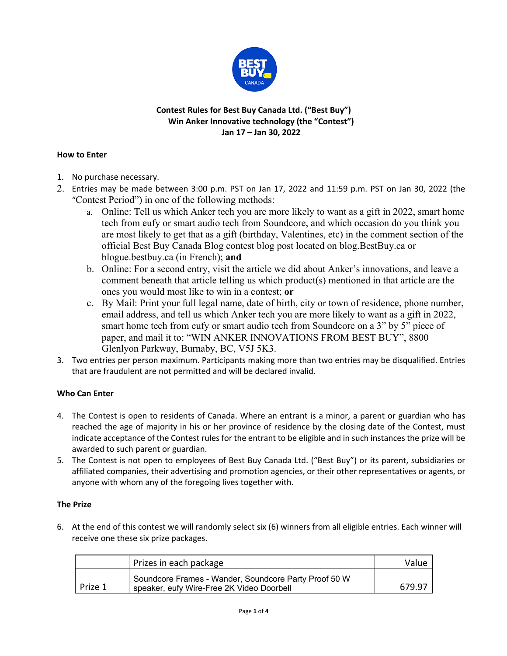

# **Contest Rules for Best Buy Canada Ltd. ("Best Buy") Win Anker Innovative technology (the "Contest") Jan 17 – Jan 30, 2022**

#### **How to Enter**

- 1. No purchase necessary.
- 2. Entries may be made between 3:00 p.m. PST on Jan 17, 2022 and 11:59 p.m. PST on Jan 30, 2022 (the "Contest Period") in one of the following methods:
	- a. Online: Tell us which Anker tech you are more likely to want as a gift in 2022, smart home tech from eufy or smart audio tech from Soundcore, and which occasion do you think you are most likely to get that as a gift (birthday, Valentines, etc) in the comment section of the official Best Buy Canada Blog contest blog post located on blog.BestBuy.ca or blogue.bestbuy.ca (in French); **and**
	- b. Online: For a second entry, visit the article we did about Anker's innovations, and leave a comment beneath that article telling us which product(s) mentioned in that article are the ones you would most like to win in a contest; **or**
	- c. By Mail: Print your full legal name, date of birth, city or town of residence, phone number, email address, and tell us which Anker tech you are more likely to want as a gift in 2022, smart home tech from eufy or smart audio tech from Soundcore on a 3" by 5" piece of paper, and mail it to: "WIN ANKER INNOVATIONS FROM BEST BUY", 8800 Glenlyon Parkway, Burnaby, BC, V5J 5K3.
- 3. Two entries per person maximum. Participants making more than two entries may be disqualified. Entries that are fraudulent are not permitted and will be declared invalid.

# **Who Can Enter**

- 4. The Contest is open to residents of Canada. Where an entrant is a minor, a parent or guardian who has reached the age of majority in his or her province of residence by the closing date of the Contest, must indicate acceptance of the Contest rules for the entrant to be eligible and in such instances the prize will be awarded to such parent or guardian.
- 5. The Contest is not open to employees of Best Buy Canada Ltd. ("Best Buy") or its parent, subsidiaries or affiliated companies, their advertising and promotion agencies, or their other representatives or agents, or anyone with whom any of the foregoing lives together with.

# **The Prize**

6. At the end of this contest we will randomly select six (6) winners from all eligible entries. Each winner will receive one these six prize packages.

|         | Prizes in each package                                                                             | Value  |
|---------|----------------------------------------------------------------------------------------------------|--------|
| Prize 1 | Soundcore Frames - Wander, Soundcore Party Proof 50 W<br>speaker, eufy Wire-Free 2K Video Doorbell | 679.97 |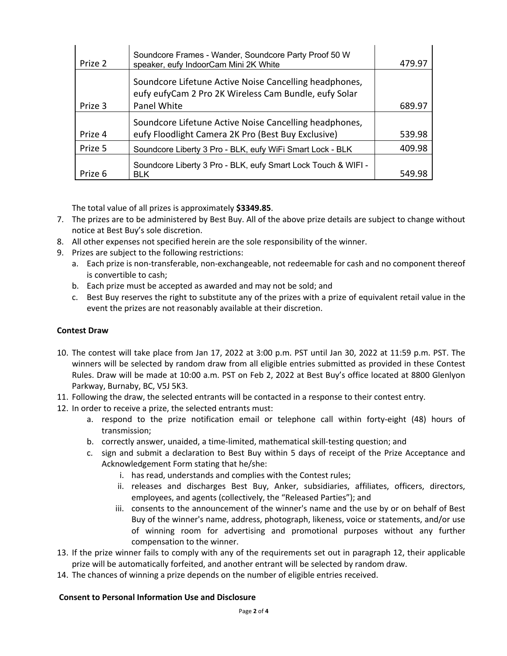| Prize 2 | Soundcore Frames - Wander, Soundcore Party Proof 50 W<br>speaker, eufy IndoorCam Mini 2K White                  | 479.97 |
|---------|-----------------------------------------------------------------------------------------------------------------|--------|
|         | Soundcore Lifetune Active Noise Cancelling headphones,<br>eufy eufyCam 2 Pro 2K Wireless Cam Bundle, eufy Solar |        |
| Prize 3 | Panel White                                                                                                     | 689.97 |
|         | Soundcore Lifetune Active Noise Cancelling headphones,                                                          |        |
| Prize 4 | eufy Floodlight Camera 2K Pro (Best Buy Exclusive)                                                              | 539.98 |
| Prize 5 | Soundcore Liberty 3 Pro - BLK, eufy WiFi Smart Lock - BLK                                                       | 409.98 |
| Prize 6 | Soundcore Liberty 3 Pro - BLK, eufy Smart Lock Touch & WIFI -<br><b>BLK</b>                                     | 549.98 |

The total value of all prizes is approximately **\$3349.85**.

- 7. The prizes are to be administered by Best Buy. All of the above prize details are subject to change without notice at Best Buy's sole discretion.
- 8. All other expenses not specified herein are the sole responsibility of the winner.
- 9. Prizes are subject to the following restrictions:
	- a. Each prize is non-transferable, non-exchangeable, not redeemable for cash and no component thereof is convertible to cash;
	- b. Each prize must be accepted as awarded and may not be sold; and
	- c. Best Buy reserves the right to substitute any of the prizes with a prize of equivalent retail value in the event the prizes are not reasonably available at their discretion.

# **Contest Draw**

- 10. The contest will take place from Jan 17, 2022 at 3:00 p.m. PST until Jan 30, 2022 at 11:59 p.m. PST. The winners will be selected by random draw from all eligible entries submitted as provided in these Contest Rules. Draw will be made at 10:00 a.m. PST on Feb 2, 2022 at Best Buy's office located at 8800 Glenlyon Parkway, Burnaby, BC, V5J 5K3.
- 11. Following the draw, the selected entrants will be contacted in a response to their contest entry.
- 12. In order to receive a prize, the selected entrants must:
	- a. respond to the prize notification email or telephone call within forty-eight (48) hours of transmission;
	- b. correctly answer, unaided, a time-limited, mathematical skill-testing question; and
	- c. sign and submit a declaration to Best Buy within 5 days of receipt of the Prize Acceptance and Acknowledgement Form stating that he/she:
		- i. has read, understands and complies with the Contest rules;
		- ii. releases and discharges Best Buy, Anker, subsidiaries, affiliates, officers, directors, employees, and agents (collectively, the "Released Parties"); and
		- iii. consents to the announcement of the winner's name and the use by or on behalf of Best Buy of the winner's name, address, photograph, likeness, voice or statements, and/or use of winning room for advertising and promotional purposes without any further compensation to the winner.
- 13. If the prize winner fails to comply with any of the requirements set out in paragraph 12, their applicable prize will be automatically forfeited, and another entrant will be selected by random draw.
- 14. The chances of winning a prize depends on the number of eligible entries received.

# **Consent to Personal Information Use and Disclosure**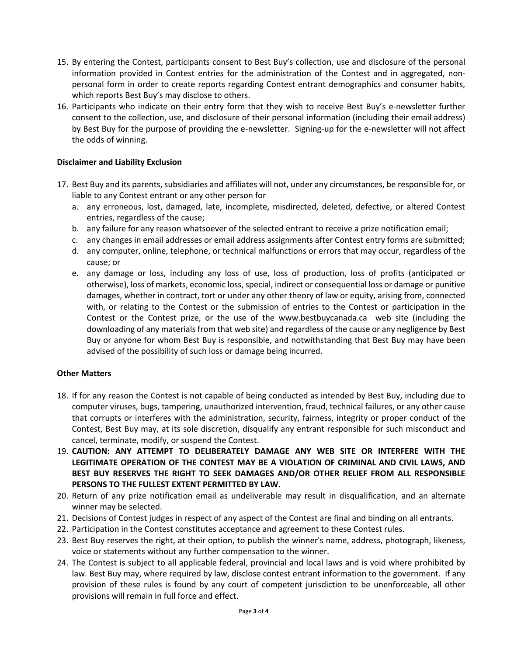- 15. By entering the Contest, participants consent to Best Buy's collection, use and disclosure of the personal information provided in Contest entries for the administration of the Contest and in aggregated, nonpersonal form in order to create reports regarding Contest entrant demographics and consumer habits, which reports Best Buy's may disclose to others.
- 16. Participants who indicate on their entry form that they wish to receive Best Buy's e-newsletter further consent to the collection, use, and disclosure of their personal information (including their email address) by Best Buy for the purpose of providing the e-newsletter. Signing-up for the e-newsletter will not affect the odds of winning.

#### **Disclaimer and Liability Exclusion**

- 17. Best Buy and its parents, subsidiaries and affiliates will not, under any circumstances, be responsible for, or liable to any Contest entrant or any other person for
	- a. any erroneous, lost, damaged, late, incomplete, misdirected, deleted, defective, or altered Contest entries, regardless of the cause;
	- b. any failure for any reason whatsoever of the selected entrant to receive a prize notification email;
	- c. any changes in email addresses or email address assignments after Contest entry forms are submitted;
	- d. any computer, online, telephone, or technical malfunctions or errors that may occur, regardless of the cause; or
	- e. any damage or loss, including any loss of use, loss of production, loss of profits (anticipated or otherwise), loss of markets, economic loss, special, indirect or consequential loss or damage or punitive damages, whether in contract, tort or under any other theory of law or equity, arising from, connected with, or relating to the Contest or the submission of entries to the Contest or participation in the Contest or the Contest prize, or the use of the www.bestbuycanada.ca web site (including the downloading of any materials from that web site) and regardless of the cause or any negligence by Best Buy or anyone for whom Best Buy is responsible, and notwithstanding that Best Buy may have been advised of the possibility of such loss or damage being incurred.

#### **Other Matters**

- 18. If for any reason the Contest is not capable of being conducted as intended by Best Buy, including due to computer viruses, bugs, tampering, unauthorized intervention, fraud, technical failures, or any other cause that corrupts or interferes with the administration, security, fairness, integrity or proper conduct of the Contest, Best Buy may, at its sole discretion, disqualify any entrant responsible for such misconduct and cancel, terminate, modify, or suspend the Contest.
- 19. **CAUTION: ANY ATTEMPT TO DELIBERATELY DAMAGE ANY WEB SITE OR INTERFERE WITH THE LEGITIMATE OPERATION OF THE CONTEST MAY BE A VIOLATION OF CRIMINAL AND CIVIL LAWS, AND BEST BUY RESERVES THE RIGHT TO SEEK DAMAGES AND/OR OTHER RELIEF FROM ALL RESPONSIBLE PERSONS TO THE FULLEST EXTENT PERMITTED BY LAW.**
- 20. Return of any prize notification email as undeliverable may result in disqualification, and an alternate winner may be selected.
- 21. Decisions of Contest judges in respect of any aspect of the Contest are final and binding on all entrants.
- 22. Participation in the Contest constitutes acceptance and agreement to these Contest rules.
- 23. Best Buy reserves the right, at their option, to publish the winner's name, address, photograph, likeness, voice or statements without any further compensation to the winner.
- 24. The Contest is subject to all applicable federal, provincial and local laws and is void where prohibited by law. Best Buy may, where required by law, disclose contest entrant information to the government. If any provision of these rules is found by any court of competent jurisdiction to be unenforceable, all other provisions will remain in full force and effect.